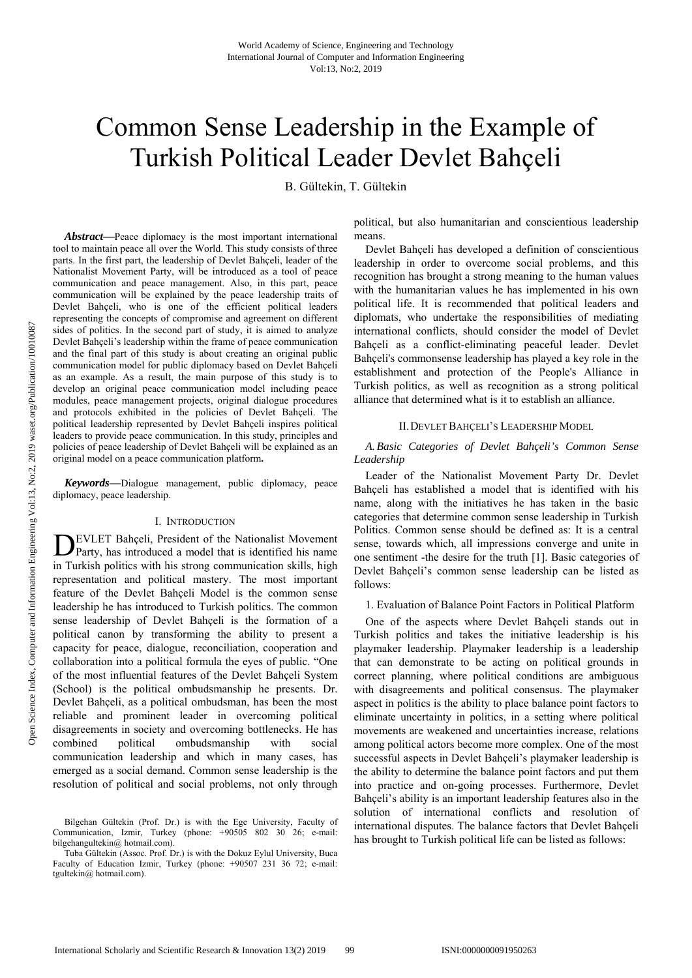# Common Sense Leadership in the Example of Turkish Political Leader Devlet Bahçeli

B. Gültekin, T. Gültekin

*Abstract***—**Peace diplomacy is the most important international tool to maintain peace all over the World. This study consists of three parts. In the first part, the leadership of Devlet Bahçeli, leader of the Nationalist Movement Party, will be introduced as a tool of peace communication and peace management. Also, in this part, peace communication will be explained by the peace leadership traits of Devlet Bahçeli, who is one of the efficient political leaders representing the concepts of compromise and agreement on different sides of politics. In the second part of study, it is aimed to analyze Devlet Bahçeli's leadership within the frame of peace communication and the final part of this study is about creating an original public communication model for public diplomacy based on Devlet Bahçeli as an example. As a result, the main purpose of this study is to develop an original peace communication model including peace modules, peace management projects, original dialogue procedures and protocols exhibited in the policies of Devlet Bahçeli. The political leadership represented by Devlet Bahçeli inspires political leaders to provide peace communication. In this study, principles and policies of peace leadership of Devlet Bahçeli will be explained as an original model on a peace communication platform**.**

*Keywords***—**Dialogue management, public diplomacy, peace diplomacy, peace leadership.

#### I. INTRODUCTION

EVLET Bahçeli, President of the Nationalist Movement DEVLET Bahçeli, President of the Nationalist Movement Party, has introduced a model that is identified his name in Turkish politics with his strong communication skills, high representation and political mastery. The most important feature of the Devlet Bahçeli Model is the common sense leadership he has introduced to Turkish politics. The common sense leadership of Devlet Bahçeli is the formation of a political canon by transforming the ability to present a capacity for peace, dialogue, reconciliation, cooperation and collaboration into a political formula the eyes of public. "One of the most influential features of the Devlet Bahçeli System (School) is the political ombudsmanship he presents. Dr. Devlet Bahçeli, as a political ombudsman, has been the most reliable and prominent leader in overcoming political disagreements in society and overcoming bottlenecks. He has combined political ombudsmanship with social communication leadership and which in many cases, has emerged as a social demand. Common sense leadership is the resolution of political and social problems, not only through

political, but also humanitarian and conscientious leadership means.

Devlet Bahçeli has developed a definition of conscientious leadership in order to overcome social problems, and this recognition has brought a strong meaning to the human values with the humanitarian values he has implemented in his own political life. It is recommended that political leaders and diplomats, who undertake the responsibilities of mediating international conflicts, should consider the model of Devlet Bahçeli as a conflict-eliminating peaceful leader. Devlet Bahçeli's commonsense leadership has played a key role in the establishment and protection of the People's Alliance in Turkish politics, as well as recognition as a strong political alliance that determined what is it to establish an alliance.

#### II. DEVLET BAHÇELI'S LEADERSHIP MODEL

## *A.Basic Categories of Devlet Bahçeli's Common Sense Leadership*

Leader of the Nationalist Movement Party Dr. Devlet Bahçeli has established a model that is identified with his name, along with the initiatives he has taken in the basic categories that determine common sense leadership in Turkish Politics. Common sense should be defined as: It is a central sense, towards which, all impressions converge and unite in one sentiment -the desire for the truth [1]. Basic categories of Devlet Bahçeli's common sense leadership can be listed as follows:

1. Evaluation of Balance Point Factors in Political Platform

One of the aspects where Devlet Bahçeli stands out in Turkish politics and takes the initiative leadership is his playmaker leadership. Playmaker leadership is a leadership that can demonstrate to be acting on political grounds in correct planning, where political conditions are ambiguous with disagreements and political consensus. The playmaker aspect in politics is the ability to place balance point factors to eliminate uncertainty in politics, in a setting where political movements are weakened and uncertainties increase, relations among political actors become more complex. One of the most successful aspects in Devlet Bahçeli's playmaker leadership is the ability to determine the balance point factors and put them into practice and on-going processes. Furthermore, Devlet Bahçeli's ability is an important leadership features also in the solution of international conflicts and resolution of international disputes. The balance factors that Devlet Bahçeli has brought to Turkish political life can be listed as follows:

Bilgehan Gültekin (Prof. Dr.) is with the Ege University, Faculty of Communication, Izmir, Turkey (phone: +90505 802 30 26; e-mail: bilgehangultekin@ hotmail.com).

Tuba Gültekin (Assoc. Prof. Dr.) is with the Dokuz Eylul University, Buca Faculty of Education Izmir, Turkey (phone: +90507 231 36 72; e-mail: tgultekin@ hotmail.com).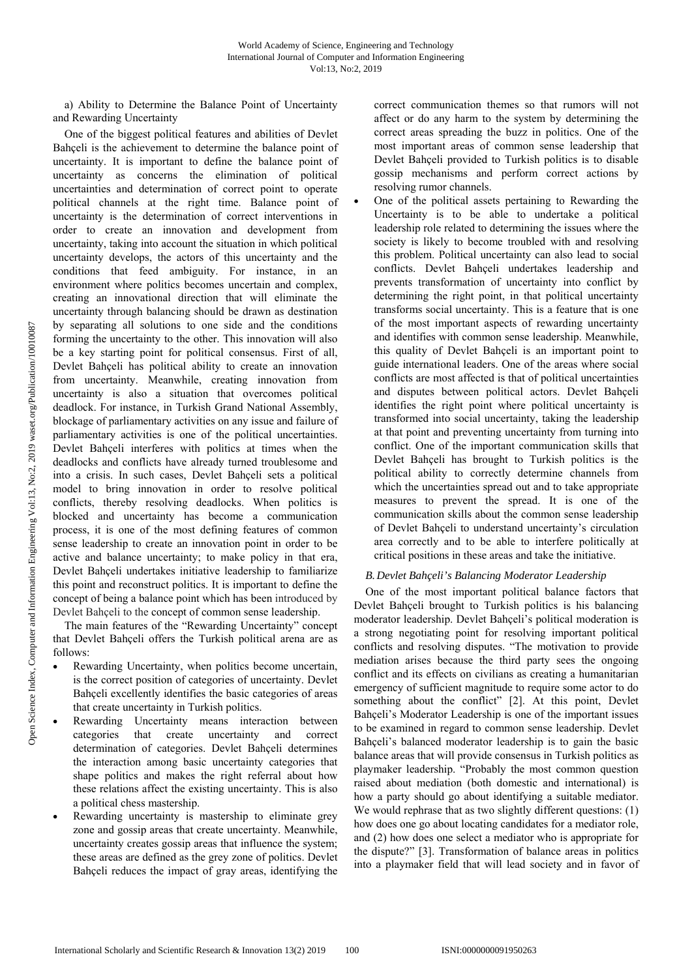a) Ability to Determine the Balance Point of Uncertainty and Rewarding Uncertainty

One of the biggest political features and abilities of Devlet Bahçeli is the achievement to determine the balance point of uncertainty. It is important to define the balance point of uncertainty as concerns the elimination of political uncertainties and determination of correct point to operate political channels at the right time. Balance point of uncertainty is the determination of correct interventions in order to create an innovation and development from uncertainty, taking into account the situation in which political uncertainty develops, the actors of this uncertainty and the conditions that feed ambiguity. For instance, in an environment where politics becomes uncertain and complex, creating an innovational direction that will eliminate the uncertainty through balancing should be drawn as destination by separating all solutions to one side and the conditions forming the uncertainty to the other. This innovation will also be a key starting point for political consensus. First of all, Devlet Bahçeli has political ability to create an innovation from uncertainty. Meanwhile, creating innovation from uncertainty is also a situation that overcomes political deadlock. For instance, in Turkish Grand National Assembly, blockage of parliamentary activities on any issue and failure of parliamentary activities is one of the political uncertainties. Devlet Bahçeli interferes with politics at times when the deadlocks and conflicts have already turned troublesome and into a crisis. In such cases, Devlet Bahçeli sets a political model to bring innovation in order to resolve political conflicts, thereby resolving deadlocks. When politics is blocked and uncertainty has become a communication process, it is one of the most defining features of common sense leadership to create an innovation point in order to be active and balance uncertainty; to make policy in that era, Devlet Bahçeli undertakes initiative leadership to familiarize this point and reconstruct politics. It is important to define the concept of being a balance point which has been introduced by Devlet Bahçeli to the concept of common sense leadership.

The main features of the "Rewarding Uncertainty" concept that Devlet Bahçeli offers the Turkish political arena are as follows:

- Rewarding Uncertainty, when politics become uncertain, is the correct position of categories of uncertainty. Devlet Bahçeli excellently identifies the basic categories of areas that create uncertainty in Turkish politics.
- Rewarding Uncertainty means interaction between categories that create uncertainty and correct determination of categories. Devlet Bahçeli determines the interaction among basic uncertainty categories that shape politics and makes the right referral about how these relations affect the existing uncertainty. This is also a political chess mastership.
- Rewarding uncertainty is mastership to eliminate grey zone and gossip areas that create uncertainty. Meanwhile, uncertainty creates gossip areas that influence the system; these areas are defined as the grey zone of politics. Devlet Bahçeli reduces the impact of gray areas, identifying the

correct communication themes so that rumors will not affect or do any harm to the system by determining the correct areas spreading the buzz in politics. One of the most important areas of common sense leadership that Devlet Bahçeli provided to Turkish politics is to disable gossip mechanisms and perform correct actions by resolving rumor channels.

 One of the political assets pertaining to Rewarding the Uncertainty is to be able to undertake a political leadership role related to determining the issues where the society is likely to become troubled with and resolving this problem. Political uncertainty can also lead to social conflicts. Devlet Bahçeli undertakes leadership and prevents transformation of uncertainty into conflict by determining the right point, in that political uncertainty transforms social uncertainty. This is a feature that is one of the most important aspects of rewarding uncertainty and identifies with common sense leadership. Meanwhile, this quality of Devlet Bahçeli is an important point to guide international leaders. One of the areas where social conflicts are most affected is that of political uncertainties and disputes between political actors. Devlet Bahçeli identifies the right point where political uncertainty is transformed into social uncertainty, taking the leadership at that point and preventing uncertainty from turning into conflict. One of the important communication skills that Devlet Bahçeli has brought to Turkish politics is the political ability to correctly determine channels from which the uncertainties spread out and to take appropriate measures to prevent the spread. It is one of the communication skills about the common sense leadership of Devlet Bahçeli to understand uncertainty's circulation area correctly and to be able to interfere politically at critical positions in these areas and take the initiative.

# *B.Devlet Bahçeli's Balancing Moderator Leadership*

One of the most important political balance factors that Devlet Bahçeli brought to Turkish politics is his balancing moderator leadership. Devlet Bahçeli's political moderation is a strong negotiating point for resolving important political conflicts and resolving disputes. "The motivation to provide mediation arises because the third party sees the ongoing conflict and its effects on civilians as creating a humanitarian emergency of sufficient magnitude to require some actor to do something about the conflict" [2]. At this point, Devlet Bahçeli's Moderator Leadership is one of the important issues to be examined in regard to common sense leadership. Devlet Bahçeli's balanced moderator leadership is to gain the basic balance areas that will provide consensus in Turkish politics as playmaker leadership. "Probably the most common question raised about mediation (both domestic and international) is how a party should go about identifying a suitable mediator. We would rephrase that as two slightly different questions: (1) how does one go about locating candidates for a mediator role, and (2) how does one select a mediator who is appropriate for the dispute?" [3]. Transformation of balance areas in politics into a playmaker field that will lead society and in favor of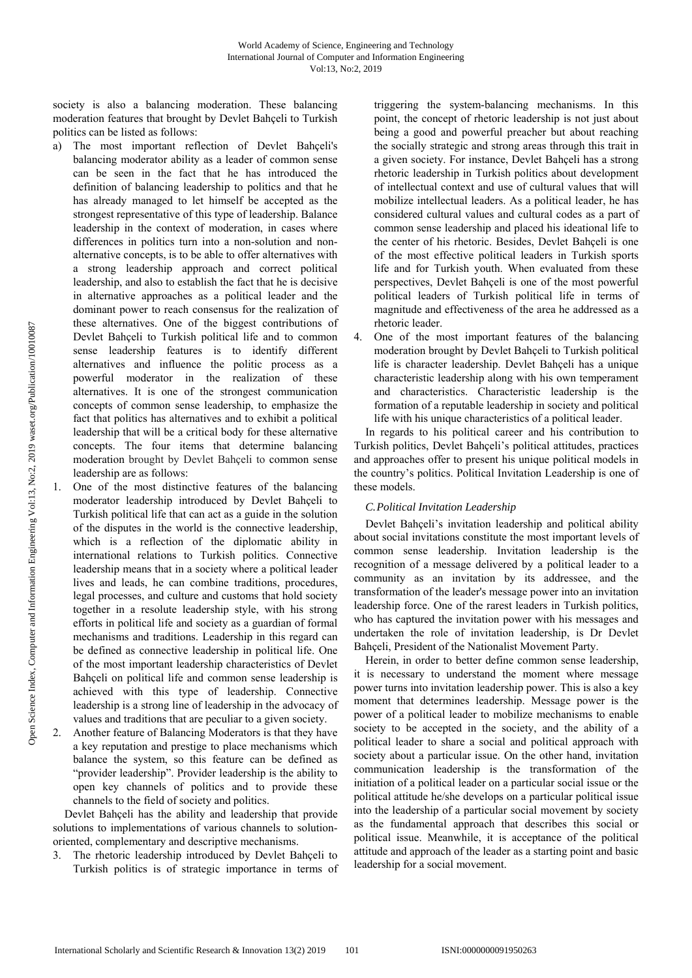society is also a balancing moderation. These balancing moderation features that brought by Devlet Bahçeli to Turkish politics can be listed as follows:

- a) The most important reflection of Devlet Bahçeli's balancing moderator ability as a leader of common sense can be seen in the fact that he has introduced the definition of balancing leadership to politics and that he has already managed to let himself be accepted as the strongest representative of this type of leadership. Balance leadership in the context of moderation, in cases where differences in politics turn into a non-solution and nonalternative concepts, is to be able to offer alternatives with a strong leadership approach and correct political leadership, and also to establish the fact that he is decisive in alternative approaches as a political leader and the dominant power to reach consensus for the realization of these alternatives. One of the biggest contributions of Devlet Bahçeli to Turkish political life and to common sense leadership features is to identify different alternatives and influence the politic process as a powerful moderator in the realization of these alternatives. It is one of the strongest communication concepts of common sense leadership, to emphasize the fact that politics has alternatives and to exhibit a political leadership that will be a critical body for these alternative concepts. The four items that determine balancing moderation brought by Devlet Bahçeli to common sense leadership are as follows:
	- One of the most distinctive features of the balancing moderator leadership introduced by Devlet Bahçeli to Turkish political life that can act as a guide in the solution of the disputes in the world is the connective leadership, which is a reflection of the diplomatic ability in international relations to Turkish politics. Connective leadership means that in a society where a political leader lives and leads, he can combine traditions, procedures, legal processes, and culture and customs that hold society together in a resolute leadership style, with his strong efforts in political life and society as a guardian of formal mechanisms and traditions. Leadership in this regard can be defined as connective leadership in political life. One of the most important leadership characteristics of Devlet Bahçeli on political life and common sense leadership is achieved with this type of leadership. Connective leadership is a strong line of leadership in the advocacy of values and traditions that are peculiar to a given society.
- 2. Another feature of Balancing Moderators is that they have a key reputation and prestige to place mechanisms which balance the system, so this feature can be defined as "provider leadership". Provider leadership is the ability to open key channels of politics and to provide these channels to the field of society and politics.

Devlet Bahçeli has the ability and leadership that provide solutions to implementations of various channels to solutionoriented, complementary and descriptive mechanisms.

3. The rhetoric leadership introduced by Devlet Bahçeli to Turkish politics is of strategic importance in terms of triggering the system-balancing mechanisms. In this point, the concept of rhetoric leadership is not just about being a good and powerful preacher but about reaching the socially strategic and strong areas through this trait in a given society. For instance, Devlet Bahçeli has a strong rhetoric leadership in Turkish politics about development of intellectual context and use of cultural values that will mobilize intellectual leaders. As a political leader, he has considered cultural values and cultural codes as a part of common sense leadership and placed his ideational life to the center of his rhetoric. Besides, Devlet Bahçeli is one of the most effective political leaders in Turkish sports life and for Turkish youth. When evaluated from these perspectives, Devlet Bahçeli is one of the most powerful political leaders of Turkish political life in terms of magnitude and effectiveness of the area he addressed as a rhetoric leader.

4. One of the most important features of the balancing moderation brought by Devlet Bahçeli to Turkish political life is character leadership. Devlet Bahçeli has a unique characteristic leadership along with his own temperament and characteristics. Characteristic leadership is the formation of a reputable leadership in society and political life with his unique characteristics of a political leader.

In regards to his political career and his contribution to Turkish politics, Devlet Bahçeli's political attitudes, practices and approaches offer to present his unique political models in the country's politics. Political Invitation Leadership is one of these models.

# *C.Political Invitation Leadership*

Devlet Bahçeli's invitation leadership and political ability about social invitations constitute the most important levels of common sense leadership. Invitation leadership is the recognition of a message delivered by a political leader to a community as an invitation by its addressee, and the transformation of the leader's message power into an invitation leadership force. One of the rarest leaders in Turkish politics, who has captured the invitation power with his messages and undertaken the role of invitation leadership, is Dr Devlet Bahçeli, President of the Nationalist Movement Party.

Herein, in order to better define common sense leadership, it is necessary to understand the moment where message power turns into invitation leadership power. This is also a key moment that determines leadership. Message power is the power of a political leader to mobilize mechanisms to enable society to be accepted in the society, and the ability of a political leader to share a social and political approach with society about a particular issue. On the other hand, invitation communication leadership is the transformation of the initiation of a political leader on a particular social issue or the political attitude he/she develops on a particular political issue into the leadership of a particular social movement by society as the fundamental approach that describes this social or political issue. Meanwhile, it is acceptance of the political attitude and approach of the leader as a starting point and basic leadership for a social movement.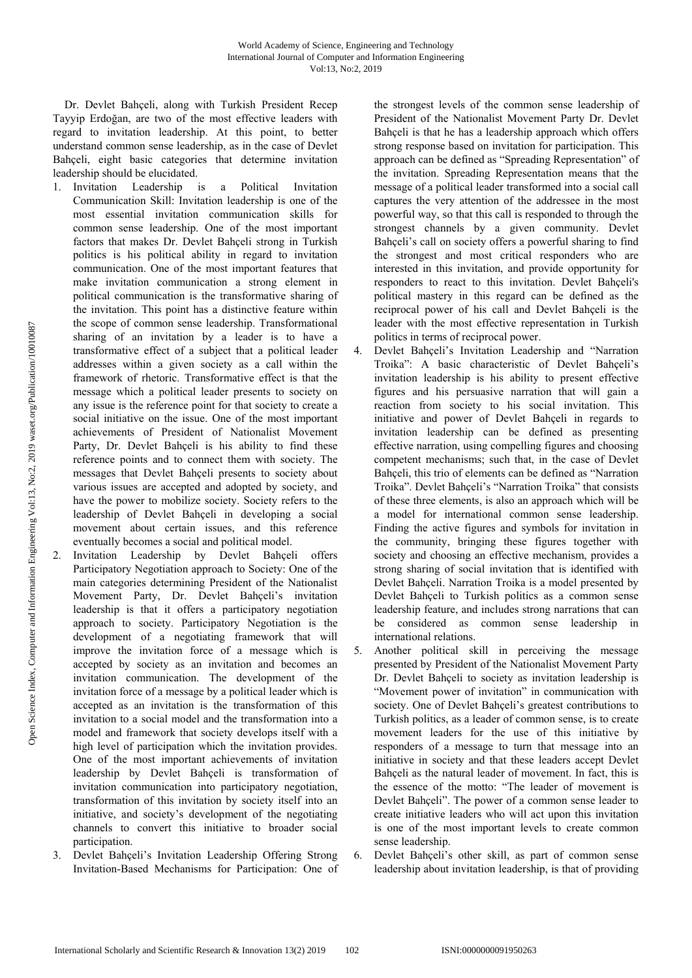Dr. Devlet Bahçeli, along with Turkish President Recep Tayyip Erdoğan, are two of the most effective leaders with regard to invitation leadership. At this point, to better understand common sense leadership, as in the case of Devlet Bahçeli, eight basic categories that determine invitation leadership should be elucidated.

- 1. Invitation Leadership is a Political Invitation Communication Skill: Invitation leadership is one of the most essential invitation communication skills for common sense leadership. One of the most important factors that makes Dr. Devlet Bahçeli strong in Turkish politics is his political ability in regard to invitation communication. One of the most important features that make invitation communication a strong element in political communication is the transformative sharing of the invitation. This point has a distinctive feature within the scope of common sense leadership. Transformational sharing of an invitation by a leader is to have a transformative effect of a subject that a political leader addresses within a given society as a call within the framework of rhetoric. Transformative effect is that the message which a political leader presents to society on any issue is the reference point for that society to create a social initiative on the issue. One of the most important achievements of President of Nationalist Movement Party, Dr. Devlet Bahçeli is his ability to find these reference points and to connect them with society. The messages that Devlet Bahçeli presents to society about various issues are accepted and adopted by society, and have the power to mobilize society. Society refers to the leadership of Devlet Bahçeli in developing a social movement about certain issues, and this reference eventually becomes a social and political model.
- 2. Invitation Leadership by Devlet Bahçeli offers Participatory Negotiation approach to Society: One of the main categories determining President of the Nationalist Movement Party, Dr. Devlet Bahçeli's invitation leadership is that it offers a participatory negotiation approach to society. Participatory Negotiation is the development of a negotiating framework that will improve the invitation force of a message which is accepted by society as an invitation and becomes an invitation communication. The development of the invitation force of a message by a political leader which is accepted as an invitation is the transformation of this invitation to a social model and the transformation into a model and framework that society develops itself with a high level of participation which the invitation provides. One of the most important achievements of invitation leadership by Devlet Bahçeli is transformation of invitation communication into participatory negotiation, transformation of this invitation by society itself into an initiative, and society's development of the negotiating channels to convert this initiative to broader social participation.
- 3. Devlet Bahçeli's Invitation Leadership Offering Strong Invitation-Based Mechanisms for Participation: One of

the strongest levels of the common sense leadership of President of the Nationalist Movement Party Dr. Devlet Bahçeli is that he has a leadership approach which offers strong response based on invitation for participation. This approach can be defined as "Spreading Representation" of the invitation. Spreading Representation means that the message of a political leader transformed into a social call captures the very attention of the addressee in the most powerful way, so that this call is responded to through the strongest channels by a given community. Devlet Bahçeli's call on society offers a powerful sharing to find the strongest and most critical responders who are interested in this invitation, and provide opportunity for responders to react to this invitation. Devlet Bahçeli's political mastery in this regard can be defined as the reciprocal power of his call and Devlet Bahçeli is the leader with the most effective representation in Turkish politics in terms of reciprocal power.

- 4. Devlet Bahçeli's Invitation Leadership and "Narration Troika": A basic characteristic of Devlet Bahçeli's invitation leadership is his ability to present effective figures and his persuasive narration that will gain a reaction from society to his social invitation. This initiative and power of Devlet Bahçeli in regards to invitation leadership can be defined as presenting effective narration, using compelling figures and choosing competent mechanisms; such that, in the case of Devlet Bahçeli, this trio of elements can be defined as "Narration Troika". Devlet Bahçeli's "Narration Troika" that consists of these three elements, is also an approach which will be a model for international common sense leadership. Finding the active figures and symbols for invitation in the community, bringing these figures together with society and choosing an effective mechanism, provides a strong sharing of social invitation that is identified with Devlet Bahçeli. Narration Troika is a model presented by Devlet Bahçeli to Turkish politics as a common sense leadership feature, and includes strong narrations that can be considered as common sense leadership in international relations.
- 5. Another political skill in perceiving the message presented by President of the Nationalist Movement Party Dr. Devlet Bahçeli to society as invitation leadership is "Movement power of invitation" in communication with society. One of Devlet Bahçeli's greatest contributions to Turkish politics, as a leader of common sense, is to create movement leaders for the use of this initiative by responders of a message to turn that message into an initiative in society and that these leaders accept Devlet Bahçeli as the natural leader of movement. In fact, this is the essence of the motto: "The leader of movement is Devlet Bahçeli". The power of a common sense leader to create initiative leaders who will act upon this invitation is one of the most important levels to create common sense leadership.
- 6. Devlet Bahçeli's other skill, as part of common sense leadership about invitation leadership, is that of providing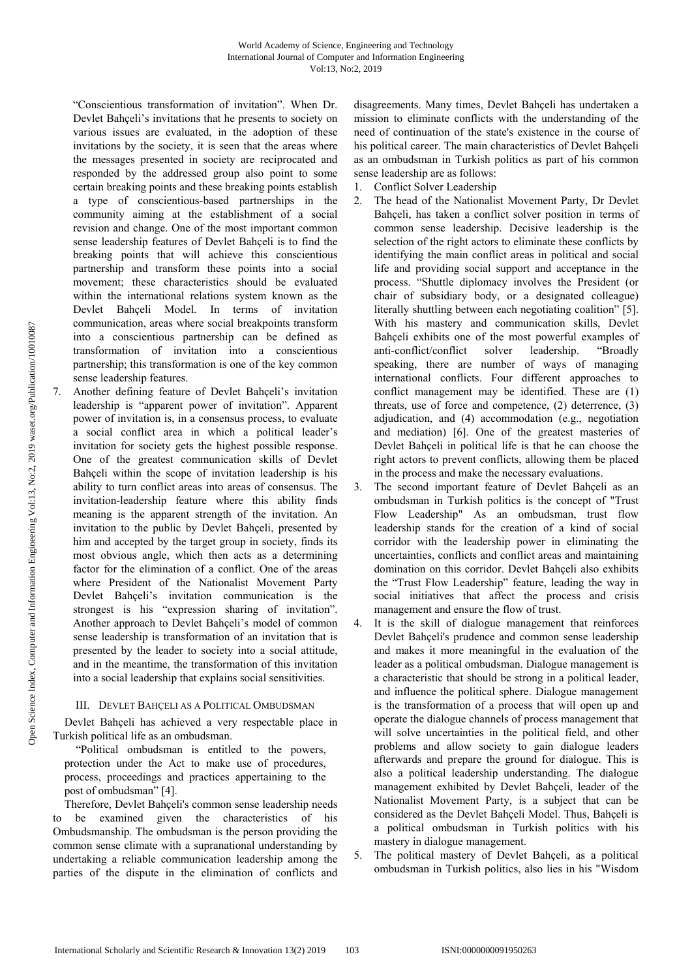"Conscientious transformation of invitation". When Dr. Devlet Bahçeli's invitations that he presents to society on various issues are evaluated, in the adoption of these invitations by the society, it is seen that the areas where the messages presented in society are reciprocated and responded by the addressed group also point to some certain breaking points and these breaking points establish a type of conscientious-based partnerships in the community aiming at the establishment of a social revision and change. One of the most important common sense leadership features of Devlet Bahçeli is to find the breaking points that will achieve this conscientious partnership and transform these points into a social movement; these characteristics should be evaluated within the international relations system known as the Devlet Bahçeli Model. In terms of invitation communication, areas where social breakpoints transform into a conscientious partnership can be defined as transformation of invitation into a conscientious partnership; this transformation is one of the key common sense leadership features.

7. Another defining feature of Devlet Bahçeli's invitation leadership is "apparent power of invitation". Apparent power of invitation is, in a consensus process, to evaluate a social conflict area in which a political leader's invitation for society gets the highest possible response. One of the greatest communication skills of Devlet Bahçeli within the scope of invitation leadership is his ability to turn conflict areas into areas of consensus. The invitation-leadership feature where this ability finds meaning is the apparent strength of the invitation. An invitation to the public by Devlet Bahçeli, presented by him and accepted by the target group in society, finds its most obvious angle, which then acts as a determining factor for the elimination of a conflict. One of the areas where President of the Nationalist Movement Party Devlet Bahçeli's invitation communication is the strongest is his "expression sharing of invitation". Another approach to Devlet Bahçeli's model of common sense leadership is transformation of an invitation that is presented by the leader to society into a social attitude, and in the meantime, the transformation of this invitation into a social leadership that explains social sensitivities.

# III. DEVLET BAHÇELI AS A POLITICAL OMBUDSMAN

Devlet Bahçeli has achieved a very respectable place in Turkish political life as an ombudsman.

"Political ombudsman is entitled to the powers, protection under the Act to make use of procedures, process, proceedings and practices appertaining to the post of ombudsman" [4].

Therefore, Devlet Bahçeli's common sense leadership needs to be examined given the characteristics of his Ombudsmanship. The ombudsman is the person providing the common sense climate with a supranational understanding by undertaking a reliable communication leadership among the parties of the dispute in the elimination of conflicts and

disagreements. Many times, Devlet Bahçeli has undertaken a mission to eliminate conflicts with the understanding of the need of continuation of the state's existence in the course of his political career. The main characteristics of Devlet Bahçeli as an ombudsman in Turkish politics as part of his common sense leadership are as follows:

- 1. Conflict Solver Leadership
- 2. The head of the Nationalist Movement Party, Dr Devlet Bahçeli, has taken a conflict solver position in terms of common sense leadership. Decisive leadership is the selection of the right actors to eliminate these conflicts by identifying the main conflict areas in political and social life and providing social support and acceptance in the process. "Shuttle diplomacy involves the President (or chair of subsidiary body, or a designated colleague) literally shuttling between each negotiating coalition" [5]. With his mastery and communication skills, Devlet Bahçeli exhibits one of the most powerful examples of anti-conflict/conflict solver leadership. "Broadly speaking, there are number of ways of managing international conflicts. Four different approaches to conflict management may be identified. These are (1) threats, use of force and competence, (2) deterrence, (3) adjudication, and (4) accommodation (e.g., negotiation and mediation) [6]. One of the greatest masteries of Devlet Bahçeli in political life is that he can choose the right actors to prevent conflicts, allowing them be placed in the process and make the necessary evaluations.
- 3. The second important feature of Devlet Bahçeli as an ombudsman in Turkish politics is the concept of "Trust Flow Leadership" As an ombudsman, trust flow leadership stands for the creation of a kind of social corridor with the leadership power in eliminating the uncertainties, conflicts and conflict areas and maintaining domination on this corridor. Devlet Bahçeli also exhibits the "Trust Flow Leadership" feature, leading the way in social initiatives that affect the process and crisis management and ensure the flow of trust.
- 4. It is the skill of dialogue management that reinforces Devlet Bahçeli's prudence and common sense leadership and makes it more meaningful in the evaluation of the leader as a political ombudsman. Dialogue management is a characteristic that should be strong in a political leader, and influence the political sphere. Dialogue management is the transformation of a process that will open up and operate the dialogue channels of process management that will solve uncertainties in the political field, and other problems and allow society to gain dialogue leaders afterwards and prepare the ground for dialogue. This is also a political leadership understanding. The dialogue management exhibited by Devlet Bahçeli, leader of the Nationalist Movement Party, is a subject that can be considered as the Devlet Bahçeli Model. Thus, Bahçeli is a political ombudsman in Turkish politics with his mastery in dialogue management.
- 5. The political mastery of Devlet Bahçeli, as a political ombudsman in Turkish politics, also lies in his "Wisdom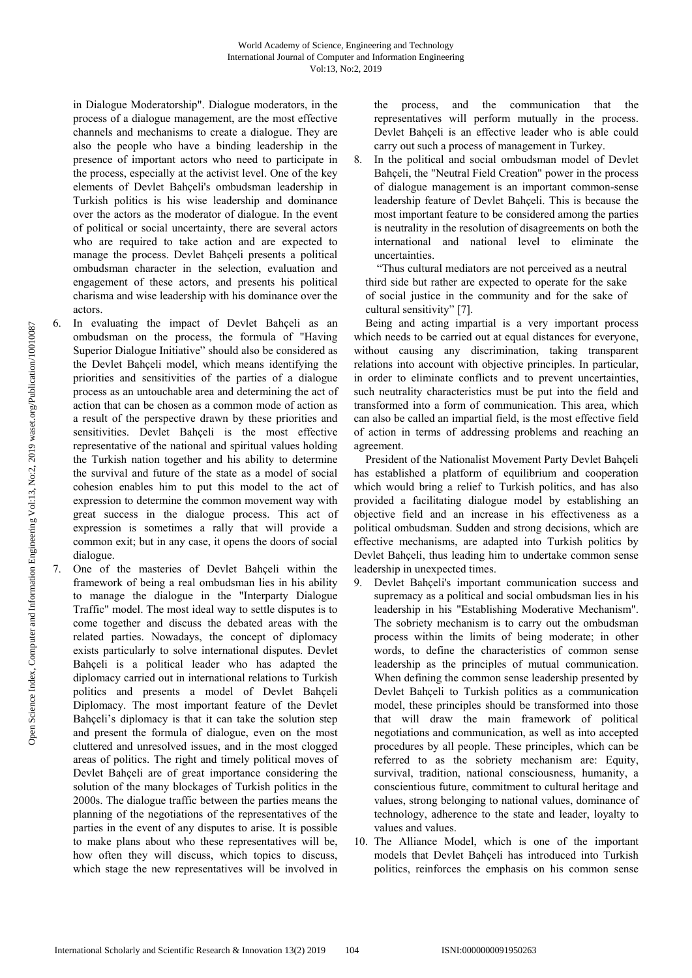in Dialogue Moderatorship". Dialogue moderators, in the process of a dialogue management, are the most effective channels and mechanisms to create a dialogue. They are also the people who have a binding leadership in the presence of important actors who need to participate in the process, especially at the activist level. One of the key elements of Devlet Bahçeli's ombudsman leadership in Turkish politics is his wise leadership and dominance over the actors as the moderator of dialogue. In the event of political or social uncertainty, there are several actors who are required to take action and are expected to manage the process. Devlet Bahçeli presents a political ombudsman character in the selection, evaluation and engagement of these actors, and presents his political charisma and wise leadership with his dominance over the actors.

- 6. In evaluating the impact of Devlet Bahçeli as an ombudsman on the process, the formula of "Having Superior Dialogue Initiative" should also be considered as the Devlet Bahçeli model, which means identifying the priorities and sensitivities of the parties of a dialogue process as an untouchable area and determining the act of action that can be chosen as a common mode of action as a result of the perspective drawn by these priorities and sensitivities. Devlet Bahçeli is the most effective representative of the national and spiritual values holding the Turkish nation together and his ability to determine the survival and future of the state as a model of social cohesion enables him to put this model to the act of expression to determine the common movement way with great success in the dialogue process. This act of expression is sometimes a rally that will provide a common exit; but in any case, it opens the doors of social dialogue.
- 7. One of the masteries of Devlet Bahçeli within the framework of being a real ombudsman lies in his ability to manage the dialogue in the "Interparty Dialogue Traffic" model. The most ideal way to settle disputes is to come together and discuss the debated areas with the related parties. Nowadays, the concept of diplomacy exists particularly to solve international disputes. Devlet Bahçeli is a political leader who has adapted the diplomacy carried out in international relations to Turkish politics and presents a model of Devlet Bahçeli Diplomacy. The most important feature of the Devlet Bahçeli's diplomacy is that it can take the solution step and present the formula of dialogue, even on the most cluttered and unresolved issues, and in the most clogged areas of politics. The right and timely political moves of Devlet Bahçeli are of great importance considering the solution of the many blockages of Turkish politics in the 2000s. The dialogue traffic between the parties means the planning of the negotiations of the representatives of the parties in the event of any disputes to arise. It is possible to make plans about who these representatives will be, how often they will discuss, which topics to discuss, which stage the new representatives will be involved in

the process, and the communication that the representatives will perform mutually in the process. Devlet Bahçeli is an effective leader who is able could carry out such a process of management in Turkey.

8. In the political and social ombudsman model of Devlet Bahçeli, the "Neutral Field Creation" power in the process of dialogue management is an important common-sense leadership feature of Devlet Bahçeli. This is because the most important feature to be considered among the parties is neutrality in the resolution of disagreements on both the international and national level to eliminate the uncertainties.

"Thus cultural mediators are not perceived as a neutral third side but rather are expected to operate for the sake of social justice in the community and for the sake of cultural sensitivity" [7].

Being and acting impartial is a very important process which needs to be carried out at equal distances for everyone, without causing any discrimination, taking transparent relations into account with objective principles. In particular, in order to eliminate conflicts and to prevent uncertainties, such neutrality characteristics must be put into the field and transformed into a form of communication. This area, which can also be called an impartial field, is the most effective field of action in terms of addressing problems and reaching an agreement.

President of the Nationalist Movement Party Devlet Bahçeli has established a platform of equilibrium and cooperation which would bring a relief to Turkish politics, and has also provided a facilitating dialogue model by establishing an objective field and an increase in his effectiveness as a political ombudsman. Sudden and strong decisions, which are effective mechanisms, are adapted into Turkish politics by Devlet Bahçeli, thus leading him to undertake common sense leadership in unexpected times.

- 9. Devlet Bahçeli's important communication success and supremacy as a political and social ombudsman lies in his leadership in his "Establishing Moderative Mechanism". The sobriety mechanism is to carry out the ombudsman process within the limits of being moderate; in other words, to define the characteristics of common sense leadership as the principles of mutual communication. When defining the common sense leadership presented by Devlet Bahçeli to Turkish politics as a communication model, these principles should be transformed into those that will draw the main framework of political negotiations and communication, as well as into accepted procedures by all people. These principles, which can be referred to as the sobriety mechanism are: Equity, survival, tradition, national consciousness, humanity, a conscientious future, commitment to cultural heritage and values, strong belonging to national values, dominance of technology, adherence to the state and leader, loyalty to values and values.
- 10. The Alliance Model, which is one of the important models that Devlet Bahçeli has introduced into Turkish politics, reinforces the emphasis on his common sense